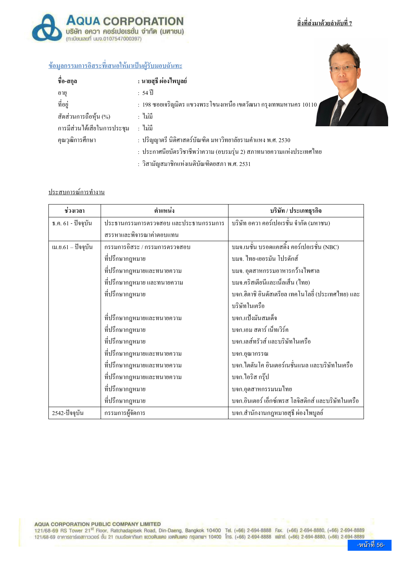# <u>สิ่งที่ส่งมาด้วยลำดับที่ 7</u>



## <u>ข้อมูลกรรมการอิสระที่เสนอให้มาเป็นผู้รับมอบฉันทะ</u>

| ชื่อ-สกุล                   | : นายสุธี ผ่องไพบูลย์                                               |
|-----------------------------|---------------------------------------------------------------------|
| อายุ                        | : 54 ปี                                                             |
| ที่อยู่                     | : 198 ซอยเจริญมิตร แขวงพระโขนงเหนือ เขตวัฒนา กรุงเทพมหานคร 10110 /  |
| สัดส่วนการถือหุ้น (%)       | : ใม่มี                                                             |
| การมีส่วนใด้เสียในการประชุม | : ไม่มี                                                             |
| คุณวุฒิการศึกษา             | : ปริญญาตรี นิติศาสตร์บัณฑิต มหาวิทยาลัยรามคำแหง พ.ศ. 2530          |
|                             | : ประกาศนียบัตรวิชาชีพว่าความ (อบรมรุ่น 2) สภาทนายความแห่งประเทศไทย |
|                             | : วิสามัญสมาชิกแห่งเนติบัณฑิตยสภา พ.ศ. 2531                         |

### <u>ประสบการณ์การทำงาน</u>

| ช่วงเวลา              | ตำแหน่ง                               | บริษัท / ประเภทธุรกิจ                               |
|-----------------------|---------------------------------------|-----------------------------------------------------|
| ธ.ค. 61 - ปัจจุบัน    | ประธานกรรมการตรวจสอบ และประธานกรรมการ | บริษัท อควา คอร์เปอเรชั่น จำกัด (มหาชน)             |
|                       | สรรหาและพิจารณาค่าตอบแทน              |                                                     |
| เม.ย. $61 -$ ปัจจุบัน | กรรมการอิสระ / กรรมการตรวจสอบ         | บมจ.เนชั่น บรอดแกสติ้ง กอร์เปอเรชั่น (NBC)          |
|                       | ที่ปรึกษากฎหมาย                       | บมจ. ไทย-เยอรมัน โปรคักส์                           |
|                       | ที่ปรึกษากฎหมายและทนายความ            | ึบมจ. อุตสาหกรรมอาหารกว้างไพศาล                     |
|                       | ี ที่ปรึกษากฎหมาย และทนายความ         | บมจ.คริสเตียนีและเน็ลเส็น (ไทย)                     |
|                       | ที่ปรึกษากฎหมาย                       | บจก.ฮิตาชิ อินดัสเตรียล เทคโนโลยี่ (ประเทศไทย) และ  |
|                       |                                       | บริษัทในเครือ                                       |
|                       | ที่ปรึกษากฎหมายและทนายความ            | บจก.แป้งมันสมเด็จ                                   |
|                       | ที่ปรึกษากฎหมาย                       | บจก,เอม สตาร์ เน็ทเวิร์ค                            |
|                       | ที่ปรึกษากฎหมาย                       | บจก,เลส์ทรัวส์ และบริษัทในเครือ                     |
|                       | ที่ปรึกษากฎหมายและทนายความ            | บจก.อุณากรรณ                                        |
|                       | ที่ปรึกษากฎหมายและทนายความ            | ิบจก.ไตตันโค อินเตอร์เนชั่นแนล และบริษัทในเครือ     |
|                       | ที่ปรึกษากฎหมายและทนายความ            | บจก.ไอริส กรุ๊ป                                     |
|                       | ที่ปรึกษากฎหมาย                       | บจก.อุตสาหกรรมนมไทย                                 |
|                       | ที่ปรึกษากฎหมาย                       | บจก.อินเตอร์ เอ็กซ์เพรส โลจิสติกส์ และบริษัทในเครือ |
| 2542-ปัจจุบัน         | กรรมการผู้จัดการ                      | บจก.สำนักงานกฎหมายสุธี ผ่องไพบูลย์                  |

#### AQUA CORPORATION PUBLIC COMPANY LIMITED

121/68-69 RS Tower 21<sup>st</sup> Floor, Ratchadapisek Road, Din-Daeng, Bangkok 10400 Tel. (+66) 2-694-8888 Fax. (+66) 2-694-8880, (+66) 2-694-8889 121/68-69 อาคารอาร์เอสทาวเวอร์ ชั้น 21 ถนนรัชคาภิเษก แขวงดินแดง เขตดินแดง กรุงเทพฯ 10400 โทร. (+66) 2-694-8888 แฟทซ์. (+66) 2-694-8880, (+66) 2-694-8889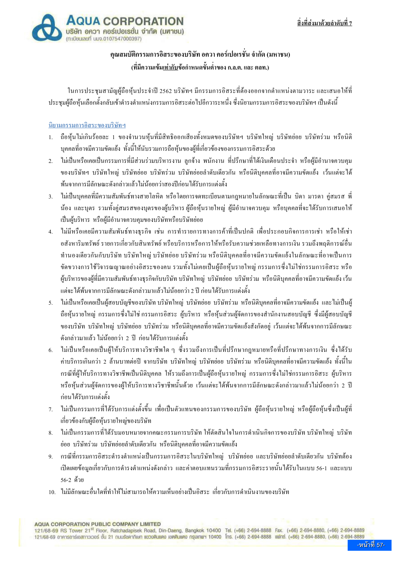

# คณสมบัติกรรมการอิสระของบริษัท อควา คอร์เปอเรชั่น จำกัด (มหาชน) (ที่มีความเข้มเท่ากับข้อกำหนดขั้นต่ำของ ก.ล.ต. และ ตลท.)

ในการประชุมสามัญผู้ถือหุ้นประจำปี 2562 บริษัทฯ มีกรรมการอิสระที่ต้องออกจากตำแหน่งตามวาระ และเสนอให้ที่ ี ประชมผู้ถือห้นเลือกตั้งกลับเข้าดำรงตำแหน่งกรรมการอิสระต่อไปอีกวาระหนึ่ง ซึ่งนิยามกรรมการอิสระของบริษัทฯ เป็นดังนี้

### นิยามกรรมการอิสระของบริษัทฯ

- ถือห้นไม่เกินร้อยละ 1 ของจำนวนห้นที่มีสิทธิออกเสียงทั้งหมดของบริษัทฯ บริษัทใหญ่ บริษัทย่อย บริษัทร่วม หรือนิติ  $1<sup>1</sup>$ บุคคลที่อาจมีความขัดแย้ง ทั้งนี้ให้นับรวมการถือหุ้นของผู้ที่เกี่ยวข้องของกรรมการอิสระด้วย
- ใม่เป็นหรือเคยเป็นกรรมการที่มีส่วนร่วมบริหารงาน ลกจ้าง พนักงาน ที่ปรึกษาที่ได้เงินเดือนประจำ หรือผ้มีอำนาจควบคม  $\mathcal{L}$ ของบริษัทฯ บริษัทใหญ่ บริษัทย่อย บริษัทร่วม บริษัทย่อยลำดับเดียวกัน หรือนิติบกกลที่อาจมีกวามขัดแย้ง เว้นแต่จะได้ พ้นจากการมีลักษณะดังกล่าวแล้วไม่น้อยกว่าสองปีก่อนได้รับการแต่งตั้ง
- ่ 3. ไม่เป็นบุคคลที่มีความสัมพันธ์ทางสายโลหิต หรือโดยการจดทะเบียนตามกฎหมายในลักษณะที่เป็น บิดา มารดา คู่สมรส พี่ ้น้อง และบุตร รวมทั้งคู่สมรสของบุตรของผู้บริหาร ผู้ถือหุ้นรายใหญ่ ผู้มีอำนาจควบคุม หรือบุคคลที่จะได้รับการเสนอให้ เป็นผ้บริหาร หรือผ้มีอำนาจควบคมของบริษัทหรือบริษัทย่อย
- 4. ไม่มีหรือเคยมีความสัมพันธ์ทางธุรกิจ เช่น การทำรายการทางการค้าที่เป็นปกติ เพื่อประกอบกิจการการเช่า หรือให้เช่า อสังหาริมทรัพย์ รายการเกี่ยวกับสินทรัพย์ หรือบริการหรือการให้หรือรับความช่วยเหลือทางการเงิน รวมถึงพฤติการณ์อื่น ทำนองเดียวกันกับบริษัท บริษัทใหญ่ บริษัทย่อย บริษัทร่วม หรือนิติบุคคลที่อาจมีความขัดแย้งในลักษณะที่อาจเป็นการ ขัดขวางการใช้วิจารณญาณอย่างอิสระของคน รวมทั้งไม่เคยเป็นผู้ถือหุ้นรายใหญ่ กรรมการซึ่งไม่ใช่กรรมการอิสระ หรือ ้ผ้บริหารของผ้ที่มีความสัมพันธ์ทางธรกิจกับบริษัท บริษัทใหญ่ บริษัทย่อย บริษัทร่วม หรือนิติบคคลที่อาจมีความขัดแย้งเว้น แต่จะได้พ้นจากการมีลักษณะดังกล่าวมาแล้วไม่น้อยกว่า 2 ปี ก่อนได้รับการแต่งตั้ง
- ่ 5. ไม่เป็นหรือเคยเป็นผู้สอบบัญชีของบริษัท บริษัทใหญ่ บริษัทฮ่อย บริษัทร่วม หรือนิติบุคคลที่อาจมีความขัดแย้ง และ ไม่เป็นผู้ ถือหุ้นรายใหญ่ กรรมการซึ่งไม่ใช่ กรรมการอิสระ ผู้บริหาร หรือหุ้นส่วนผู้จัดการของสำนักงานสอบบัญชี ซึ่งมีผู้สอบบัญชี ของบริษัท บริษัทใหญ่ บริษัทย่อย บริษัทร่วม หรือนิติบุคกลที่อาจมีความขัดแย้งสังกัดอยู่ เว้นแต่จะได้พ้นจากการมีลักษณะ ์ ดังกล่าวมาแล้ว ไม่น้อยกว่า 2 ปี ก่อนได้รับการแต่งตั้ง
- 6. ใม่เป็นหรือเกยเป็นผู้ให้บริการทางวิชาชีพใด ๆ ซึ่งรวมถึงการเป็นที่ปรึกษากฎหมายหรือที่ปรึกษาทางการเงิน ซึ่งได้รับ ้ค่าบริการเกินกว่า 2 ถ้านบาทต่อปี จากบริษัท บริษัทใหญ่ บริษัทย่อย บริษัทร่วม หรือนิติบุคคลที่อาจมีความขัดแย้ง ทั้งนี้ใน ้ กรณีที่ฝ้ให้บริการทางวิชาชีพเป็นนิติบคคล ให้รวมถึงการเป็นผู้ถือห้นรายใหญ่ กรรมการซึ่งไม่ใช่กรรมการอิสระ ผู้บริหาร หรือหุ้นส่วนผู้จัดการของผู้ให้บริการทางวิชาชีพนั้นด้วย เว้นแต่จะได้พ้นจากการมีลักษณะดังกล่าวมาแล้วไม่น้อยกว่า 2 ปี ก่อนได้รับการแต่งตั้ง
- ่ 7. ไม่เป็นกรรมการที่ได้รับการแต่งตั้งขึ้น เพื่อเป็นตัวแทนของกรรมการของบริษัท ผู้ถือหุ้นรายใหญ่ หรือผู้ถือหุ้นซึ่งเป็นผู้ที่ เกี่ยวข้องกับผู้ถือห้นรายใหญ่ของบริษัท
- ่ 8. ไม่เป็นกรรมการที่ได้รับมอบหมายจากคณะกรรมการบริษัท ให้ตัดสินใจในการดำเนินกิจการของบริษัท บริษัทใหญ่ บริษัท ย่อย บริษัทร่วม บริษัทย่อยลำดับเดียวกัน หรือนิติบกกลที่อาจมีความขัดแย้ง
- ่ 9. กรณีที่กรรมการอิสระดำรงตำแหน่งเป็นกรรมการอิสระในบริษัทใหญ่ บริษัทย่อย และบริษัทย่อยลำดับเดียวกัน บริษัทต้อง ้เปิดเผยข้อมูลเกี่ยวกับการคำรงตำแหน่งดังกล่าว และค่าตอบแทนรวมที่กรรมการอิสระรายนั้นได้รับในแบบ 56-1 และแบบ 56-2 ด้วย
- 10. ไม่มีลักษณะอื่นใดที่ทำให้ไม่สามารถให้ความเห็นอย่างเป็นอิสระ เกี่ยวกับการดำเนินงานของบริษัท

**AQUA CORPORATION PUBLIC COMPANY LIMITED**